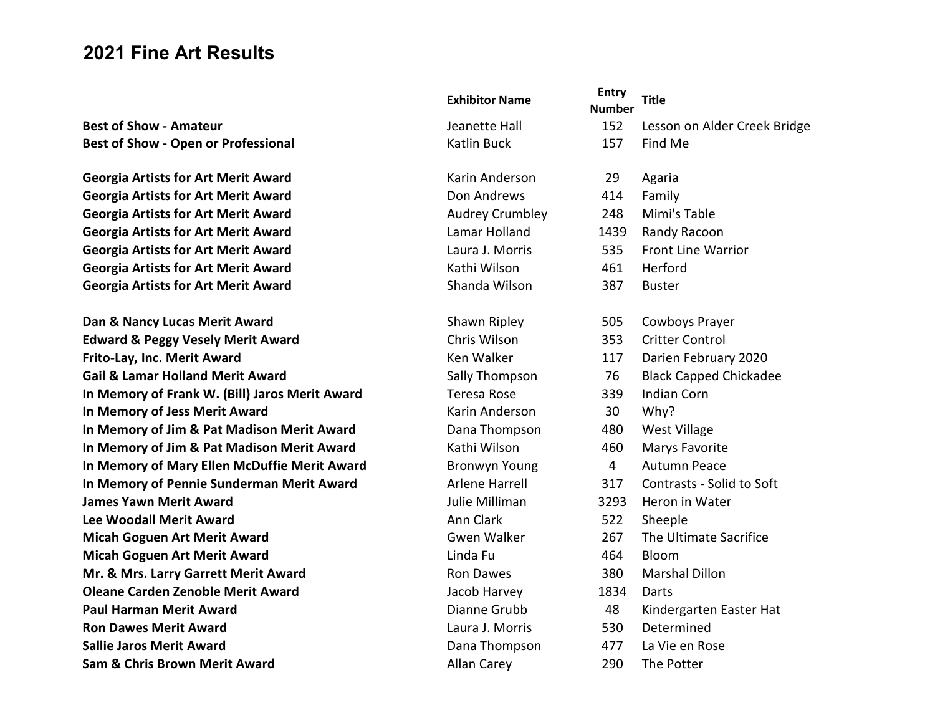# 2021 Fine Art Results

| <b>Exhibitor Name</b>  | <b>Entry</b> |
|------------------------|--------------|
|                        | <b>Numbe</b> |
| Jeanette Hall          | 152          |
| <b>Katlin Buck</b>     | 157          |
| Karin Anderson         | 29           |
| Don Andrews            | 414          |
| <b>Audrey Crumbley</b> | 248          |
| Lamar Holland          | 1439         |
| Laura J. Morris        | 535          |
| Kathi Wilson           | 461          |
| Shanda Wilson          | 387          |
| Shawn Ripley           | 505          |
| Chris Wilson           | 353          |
| Ken Walker             | 117          |
| Sally Thompson         | 76           |
| <b>Teresa Rose</b>     | 339          |
| Karin Anderson         | 30           |
| Dana Thompson          | 480          |
| Kathi Wilson           | 460          |
| <b>Bronwyn Young</b>   | 4            |
| <b>Arlene Harrell</b>  | 317          |
| Julie Milliman         | 3293         |
| <b>Ann Clark</b>       | 522          |
| <b>Gwen Walker</b>     | 267          |
| Linda Fu               | 464          |
| <b>Ron Dawes</b>       | 380          |
| Jacob Harvey           | 1834         |
| Dianne Grubb           | 48           |
| Laura J. Morris        | 530          |
| Dana Thompson          | 477          |
| <b>Allan Carey</b>     | 290          |

|                                                | <b>Exhibitor Name</b>  | <b>Entry</b><br><b>Number</b> | <b>Title</b>                  |
|------------------------------------------------|------------------------|-------------------------------|-------------------------------|
| <b>Best of Show - Amateur</b>                  | Jeanette Hall          | 152                           | Lesson on Alder Creek Bridge  |
| <b>Best of Show - Open or Professional</b>     | <b>Katlin Buck</b>     | 157                           | Find Me                       |
| <b>Georgia Artists for Art Merit Award</b>     | Karin Anderson         | 29                            | Agaria                        |
| <b>Georgia Artists for Art Merit Award</b>     | Don Andrews            | 414                           | Family                        |
| <b>Georgia Artists for Art Merit Award</b>     | <b>Audrey Crumbley</b> | 248                           | Mimi's Table                  |
| <b>Georgia Artists for Art Merit Award</b>     | Lamar Holland          | 1439                          | Randy Racoon                  |
| <b>Georgia Artists for Art Merit Award</b>     | Laura J. Morris        | 535                           | <b>Front Line Warrior</b>     |
| <b>Georgia Artists for Art Merit Award</b>     | Kathi Wilson           | 461                           | Herford                       |
| <b>Georgia Artists for Art Merit Award</b>     | Shanda Wilson          | 387                           | <b>Buster</b>                 |
| Dan & Nancy Lucas Merit Award                  | Shawn Ripley           | 505                           | Cowboys Prayer                |
| <b>Edward &amp; Peggy Vesely Merit Award</b>   | Chris Wilson           | 353                           | <b>Critter Control</b>        |
| Frito-Lay, Inc. Merit Award                    | Ken Walker             | 117                           | Darien February 2020          |
| <b>Gail &amp; Lamar Holland Merit Award</b>    | Sally Thompson         | 76                            | <b>Black Capped Chickadee</b> |
| In Memory of Frank W. (Bill) Jaros Merit Award | <b>Teresa Rose</b>     | 339                           | <b>Indian Corn</b>            |
| In Memory of Jess Merit Award                  | Karin Anderson         | 30                            | Why?                          |
| In Memory of Jim & Pat Madison Merit Award     | Dana Thompson          | 480                           | West Village                  |
| In Memory of Jim & Pat Madison Merit Award     | Kathi Wilson           | 460                           | Marys Favorite                |
| In Memory of Mary Ellen McDuffie Merit Award   | <b>Bronwyn Young</b>   | $\overline{4}$                | <b>Autumn Peace</b>           |
| In Memory of Pennie Sunderman Merit Award      | Arlene Harrell         | 317                           | Contrasts - Solid to Soft     |
| <b>James Yawn Merit Award</b>                  | Julie Milliman         | 3293                          | Heron in Water                |
| <b>Lee Woodall Merit Award</b>                 | Ann Clark              | 522                           | Sheeple                       |
| <b>Micah Goguen Art Merit Award</b>            | <b>Gwen Walker</b>     | 267                           | The Ultimate Sacrifice        |
| <b>Micah Goguen Art Merit Award</b>            | Linda Fu               | 464                           | Bloom                         |
| Mr. & Mrs. Larry Garrett Merit Award           | Ron Dawes              | 380                           | <b>Marshal Dillon</b>         |
| <b>Oleane Carden Zenoble Merit Award</b>       | Jacob Harvey           | 1834                          | Darts                         |
| <b>Paul Harman Merit Award</b>                 | Dianne Grubb           | 48                            | Kindergarten Easter Hat       |
| <b>Ron Dawes Merit Award</b>                   | Laura J. Morris        | 530                           | Determined                    |
| <b>Sallie Jaros Merit Award</b>                | Dana Thompson          | 477                           | La Vie en Rose                |
| <b>Sam &amp; Chris Brown Merit Award</b>       | <b>Allan Carey</b>     | 290                           | The Potter                    |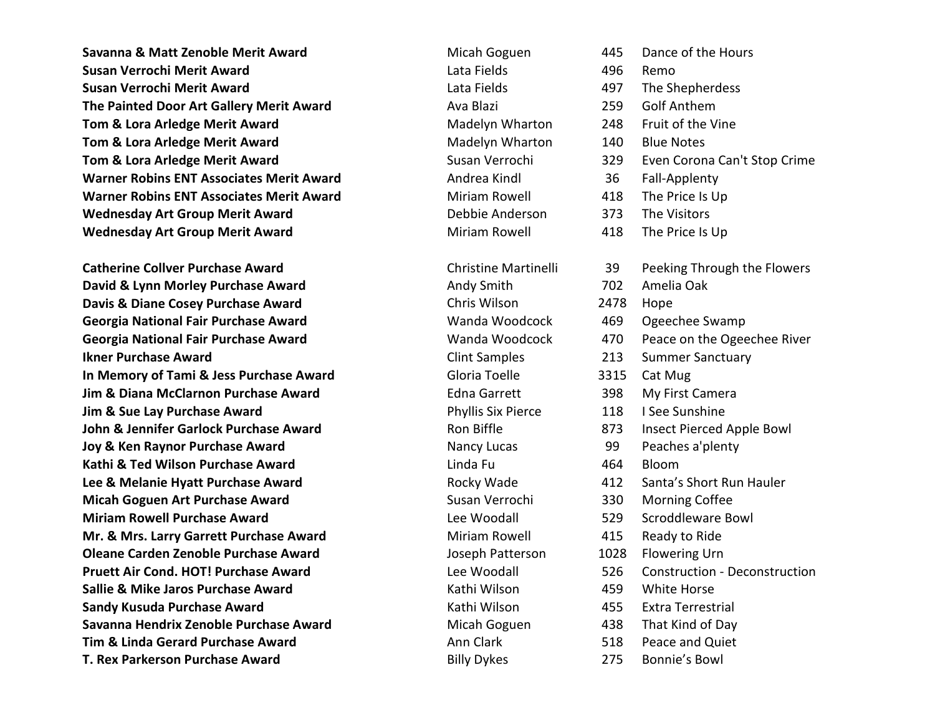Savanna & Matt Zenoble Merit Award Micah Goguen 445 Dance of the Hours Susan Verrochi Merit Award Lata Fields 496 Remo Susan Verrochi Merit Award Lata Fields 497 The Shepherdess The Painted Door Art Gallery Merit Award **Ava Blazi** Ava Blazi 259 Golf Anthem Tom & Lora Arledge Merit Award **Mateuber 2008** Madelyn Wharton 248 Fruit of the Vine Tom & Lora Arledge Merit Award **Mateur Account Account Avare Madelyn Wharton** 140 Blue Notes Tom & Lora Arledge Merit Award **Susan Verrochi** 329 Even Corona Can't Stop Crime Warner Robins ENT Associates Merit Award **Andrea Kindl** Andrea Kindl 36 Fall-Applenty Warner Robins ENT Associates Merit Award **Miriam Rowell** 418 The Price Is Up Wednesday Art Group Merit Award **Debbie Anderson** 373 The Visitors Wednesday Art Group Merit Award **Miriam Rowell** All Allem Herice Is Up and Miriam Rowell 418 The Price Is Up

Catherine Collver Purchase Award **Christine Martinelli** 39 Peeking Through the Flowers David & Lynn Morley Purchase Award **Andy Smith 1996** Andy Smith 702 Amelia Oak **Davis & Diane Cosey Purchase Award Chris Wilson 2478 Hope** Georgia National Fair Purchase Award **Wanda Woodcock** A69 Ogeechee Swamp Georgia National Fair Purchase Award Wanda Woodcock 470 Peace on the Ogeechee River Ikner Purchase Award Clint Samples 213 Summer Sanctuary In Memory of Tami & Jess Purchase Award Gloria Toelle 3315 Cat Mug Jim & Diana McClarnon Purchase Award **Edna Garrett** 398 My First Camera **Jim & Sue Lay Purchase Award Phyllis Six Pierce** 118 I See Sunshine John & Jennifer Garlock Purchase Award **Ron Biffle Ron Biffle Ron Biffle** 873 Insect Pierced Apple Bowl Joy & Ken Raynor Purchase Award **Nancy Lucas** Nancy Lucas **99** Peaches a'plenty Kathi & Ted Wilson Purchase Award **Linda Full Linda Full and Accommon Accommon Contract** Bloom Lee & Melanie Hyatt Purchase Award **Rocky Wade** All 2 Santa's Short Run Hauler **Micah Goguen Art Purchase Award Susan Verrochi** Susan Verrochi 330 Morning Coffee Miriam Rowell Purchase Award Lee Woodall 529 Scroddleware Bowl Mr. & Mrs. Larry Garrett Purchase Award Miriam Rowell All All All Beady to Ride **Oleane Carden Zenoble Purchase Award School Cardy Cardy Constrained August 2028** Flowering Urn Pruett Air Cond. HOT! Purchase Award Lee Woodall 526 Construction - Deconstruction Sallie & Mike Jaros Purchase Award New York Horse Kathi Wilson New York 459 White Horse Sandy Kusuda Purchase Award **Kathi Wilson** Kathi Wilson **1986 - Award Award Award Kathi Wilson** 455 Extra Terrestrial Savanna Hendrix Zenoble Purchase Award **Micah Goguen** 438 That Kind of Day **Tim & Linda Gerard Purchase Award Community Community** Ann Clark 518 Peace and Quiet T. Rex Parkerson Purchase Award **Billy Dykes** 275 Bonnie's Bowl

- 
- 
- 
- 
- 
- 
- 
- 
- 
- 
- 
- 
- 
- 
- 
- 
- 
-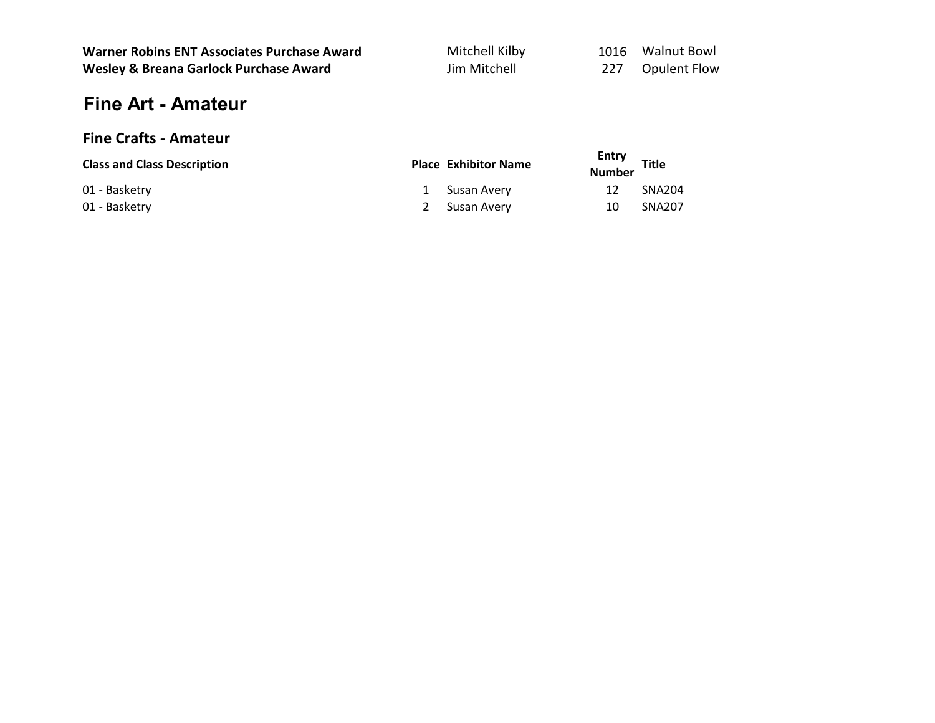| <b>Warner Robins ENT Associates Purchase Award</b> | Mitchell Kilby |      | 1016 Walnut Bowl    |
|----------------------------------------------------|----------------|------|---------------------|
| Wesley & Breana Garlock Purchase Award             | Jim Mitchell   | -227 | <b>Opulent Flow</b> |

# Fine Art - Amateur

# Fine Crafts - Amateur

| <b>Class and Class Description</b> | <b>Place Exhibitor Name</b> | Entry<br><b>Number</b> | <b>Title</b>  |
|------------------------------------|-----------------------------|------------------------|---------------|
| 01 - Basketry                      | 1 Susan Avery               | 12                     | <b>SNA204</b> |
| 01 - Basketry                      | 2 Susan Avery               | 10                     | <b>SNA207</b> |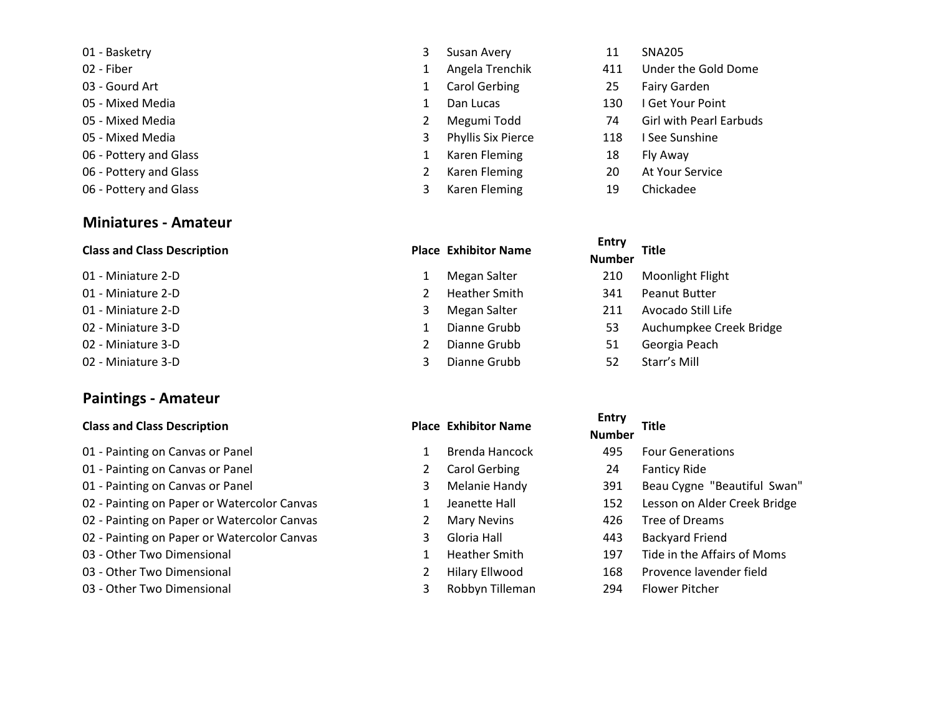- 
- 
- 
- 
- 
- 
- 06 Pottery and Glass Theorem 2008 1 Karen Fleming 2008 18 Fly Away
- 
- 06 Pottery and Glass Theorem 2008 19 April 2008 19 April 2008 19 April 2008 19 April 2009 19 April 2009 19 Chickadee

### Miniatures - Amateur

# Entry Class and Class Description **Place Exhibitor Name**

- 
- 
- 
- 
- 
- 

### Paintings - Amateur

### Class and Class Description **Place Exhibitor Name** Place Exhibitor Name

- 01 Painting on Canvas or Panel 1 Brenda Hancock 495 Four Generations Canvas or Panel 1 Brenda Hancock
- 01 Painting on Canvas or Panel 2 Carol Gerbing 2
- 01 Painting on Canvas or Panel 3 Melanie Handy 3
- 02 Painting on Paper or Watercolor Canvas 1 Jeanette Hall
- 02 Painting on Paper or Watercolor Canvas 2 Mary Nevins
- 02 Painting on Paper or Watercolor Canvas 3 Gloria Hall
- 03 Other Two Dimensional 1 and 197 Tide in the Affairs of Moms in the Affairs of Moms in the Affairs of Moms in the Affairs of Moms in the Affairs of Moms in the Affairs of Moms in the Affairs of Moms in the Affairs of M
- 03 Other Two Dimensional 2 Hilary Ellwood
- 03 Other Two Dimensional 3 Robbyn Tilleman 294 Flower Pitcher
- out a set of the set of the set of the set of the set of the set of the set of the set of the set of the set o<br>
a set of the set of the set of the set of the set of the set of the set of the set of the set of the set of t
	-
	-
	-
	-
	-
	-
	-
	-

- 
- 
- 
- 
- 
- 02 Miniature 3-D **3** Dianne Grubb 52 Starr's Mill

- 
- 
- 
- 
- 
- 
- 
- 
- 
- 
- 02 Fiber 1 Angela Trenchik 411 Under the Gold Dome
- den and the Carol Gerbing 1 Carol Gerbing 25 Fairy Garden 20 Fairy Garden 20 Fairy Garden 20 Fairy Garden 20 Fairy Garden 20 Fairy Garden 20 Fairy Garden 20 Fairy Garden 20 Fairy Garden 20 Fairy Garden 20 Fairy Garden 20 F
- 05 Mixed Media 1 Dan Lucas 1 Dan Lucas 130 I Get Your Point
- 05 Mixed Media 2 Megumi Todd 74 Girl with Pearl Earbuds
- 05 Mixed Media 3 Phyllis Six Pierce 118 I See Sunshine
	-
- 06 Pottery and Glass 2 Karen Fleming 20 At Your Service
	-

# Number Title

- 01 Miniature 2-D **1 Megan Salter** 210 Moonlight Flight
- 01 Miniature 2-D 2 Heather Smith 341 Peanut Butter
- 01 Miniature 2-D **3 Megan Salter** 2011 Avocado Still Life
- 02 Miniature 3-D **1 Dianne Grubb** 53 Auchumpkee Creek Bridge
- 02 Miniature 3-D 2 Dianne Grubb 51 Georgia Peach
	-

| <b>Entry</b><br><b>Number</b> | <b>Title</b>                 |
|-------------------------------|------------------------------|
| 495                           | <b>Four Generations</b>      |
| 24                            | <b>Fanticy Ride</b>          |
| 391                           | Beau Cygne "Beautiful Swan"  |
| 152                           | Lesson on Alder Creek Bridge |
| 426                           | Tree of Dreams               |
| 443                           | <b>Backyard Friend</b>       |
| 197                           | Tide in the Affairs of Moms  |
| 168                           | Provence lavender field      |
| ากเ                           | ويمطمئن والمتناع             |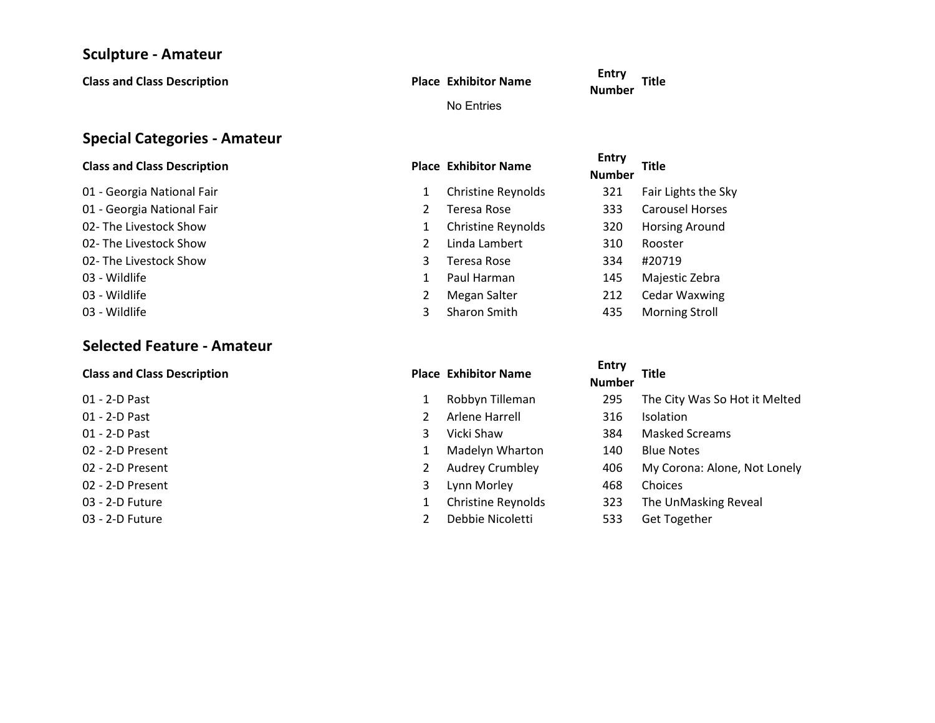### Sculpture - Amateur

Class and Class Description **Place Exhibitor Name** No Entries

E<sup>riuy</sup> Title<br>Number

# Special Categories - Amateur

- 01 Georgia National Fair 02- The Livestock Show 02- The Livestock Show 02- The Livestock Show
- 

# Selected Feature - Amateur

### Class and Class Description **Place Exhibitor Name**

- 
- 
- 
- 
- 02 2-D Present 2 Audrey Crumbley
- 
- 
- 

| <b>Class and Class Description</b> |   | <b>Place Exhibitor Name</b> | <b>Entry</b><br><b>Number</b> | <b>Title</b>           |
|------------------------------------|---|-----------------------------|-------------------------------|------------------------|
| 01 - Georgia National Fair         | 1 | <b>Christine Reynolds</b>   | 321                           | Fair Lights the Sky    |
| 01 - Georgia National Fair         |   | Teresa Rose                 | 333                           | <b>Carousel Horses</b> |
| 02- The Livestock Show             |   | <b>Christine Reynolds</b>   | 320                           | Horsing Around         |
| 02- The Livestock Show             |   | Linda Lambert               | 310                           | Rooster                |
| 02- The Livestock Show             | 3 | Teresa Rose                 | 334                           | #20719                 |
| 03 - Wildlife                      |   | Paul Harman                 | 145                           | Majestic Zebra         |
| 03 - Wildlife                      |   | Megan Salter                | 212                           | <b>Cedar Waxwing</b>   |
| 03 - Wildlife                      |   | Sharon Smith                | 435                           | <b>Morning Stroll</b>  |

- 
- 
- 
- 02 2-D Present 2008 2009 10 Blue Notes 2009 10 Blue Madelyn Wharton
	-
	-
- 03 2-D Future 1 Christine Reynolds
- 03 2-D Future 2 Debbie Nicoletti

| <b>Class and Class Description</b> | <b>Place Exhibitor Name</b> | <b>Entry</b><br><b>Number</b> | <b>Title</b>                  |
|------------------------------------|-----------------------------|-------------------------------|-------------------------------|
| 01 - 2-D Past                      | Robbyn Tilleman             | 295                           | The City Was So Hot it Melted |
| 01 - 2-D Past                      | Arlene Harrell              | 316                           | Isolation                     |
| 01 - 2-D Past<br>3                 | Vicki Shaw                  | 384                           | <b>Masked Screams</b>         |
| 02 - 2-D Present                   | Madelyn Wharton             | 140                           | <b>Blue Notes</b>             |
| 02 - 2-D Present                   | Audrey Crumbley             | 406                           | My Corona: Alone, Not Lonely  |
| 02 - 2-D Present<br>3              | Lynn Morley                 | 468                           | Choices                       |
| 03 - 2-D Future                    | <b>Christine Reynolds</b>   | 323                           | The UnMasking Reveal          |
| 03 - 2-D Future                    | Debbie Nicoletti            | 533                           | <b>Get Together</b>           |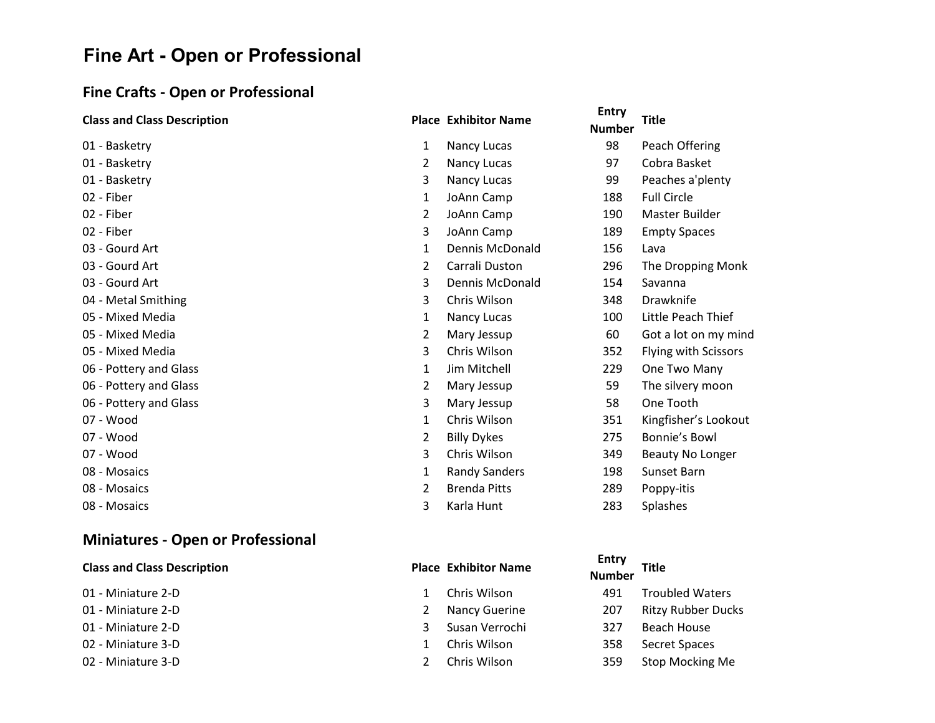# Fine Art - Open or Professional

# Fine Crafts - Open or Professional

| <b>Class and Class Description</b> |                | <b>Place Exhibitor Name</b> | <b>Entry</b><br><b>Number</b> | <b>Title</b>         |
|------------------------------------|----------------|-----------------------------|-------------------------------|----------------------|
| 01 - Basketry                      | 1              | Nancy Lucas                 | 98                            | Peach Offering       |
| 01 - Basketry                      | $\overline{2}$ | Nancy Lucas                 | 97                            | Cobra Basket         |
| 01 - Basketry                      | 3              | Nancy Lucas                 | 99                            | Peaches a'plenty     |
| 02 - Fiber                         | 1              | JoAnn Camp                  | 188                           | <b>Full Circle</b>   |
| 02 - Fiber                         | 2              | JoAnn Camp                  | 190                           | Master Builder       |
| 02 - Fiber                         | 3              | JoAnn Camp                  | 189                           | <b>Empty Spaces</b>  |
| 03 - Gourd Art                     | $\mathbf{1}$   | <b>Dennis McDonald</b>      | 156                           | Lava                 |
| 03 - Gourd Art                     | $\overline{2}$ | Carrali Duston              | 296                           | The Dropping Monk    |
| 03 - Gourd Art                     | 3              | Dennis McDonald             | 154                           | Savanna              |
| 04 - Metal Smithing                | 3              | Chris Wilson                | 348                           | Drawknife            |
| 05 - Mixed Media                   | 1              | Nancy Lucas                 | 100                           | Little Peach Thief   |
| 05 - Mixed Media                   | $\overline{2}$ | Mary Jessup                 | 60                            | Got a lot on my mind |
| 05 - Mixed Media                   | 3              | Chris Wilson                | 352                           | Flying with Scissors |
| 06 - Pottery and Glass             | 1              | Jim Mitchell                | 229                           | One Two Many         |
| 06 - Pottery and Glass             | $\overline{2}$ | Mary Jessup                 | 59                            | The silvery moon     |
| 06 - Pottery and Glass             | 3              | Mary Jessup                 | 58                            | One Tooth            |
| 07 - Wood                          | 1              | Chris Wilson                | 351                           | Kingfisher's Lookout |
| 07 - Wood                          | $\overline{2}$ | <b>Billy Dykes</b>          | 275                           | Bonnie's Bowl        |
| 07 - Wood                          | 3              | Chris Wilson                | 349                           | Beauty No Longer     |
| 08 - Mosaics                       | 1              | <b>Randy Sanders</b>        | 198                           | Sunset Barn          |
| 08 - Mosaics                       | 2              | <b>Brenda Pitts</b>         | 289                           | Poppy-itis           |
| 08 - Mosaics                       | 3              | Karla Hunt                  | 283                           | <b>Splashes</b>      |
|                                    |                |                             |                               |                      |

# Miniatures - Open or Professional

|  |  |  | <b>Class and Class Description</b> |  |
|--|--|--|------------------------------------|--|
|--|--|--|------------------------------------|--|

|              | 01 - Miniature 2-D |
|--------------|--------------------|
|              | 01 - Miniature 2-D |
| $\mathbf{A}$ | M11.22.13.22.22.2  |

- 
- 
- 

|                                    |                             | <b>Entry</b>     |
|------------------------------------|-----------------------------|------------------|
| <b>Class and Class Description</b> | <b>Place Exhibitor Name</b> | <b>Nicessale</b> |

- 
- 
- 
- 
- 

| <b>Class and Class Description</b> |              | <b>Place Exhibitor Name</b> | Entry<br><b>Number</b> | Title                  |
|------------------------------------|--------------|-----------------------------|------------------------|------------------------|
| 01 - Miniature 2-D                 | $\mathbf{1}$ | Chris Wilson                | 491                    | <b>Troubled Waters</b> |
| 01 - Miniature 2-D                 | 2            | Nancy Guerine               | 207                    | Ritzy Rubber Ducks     |

- 01 Miniature 2-D **3 Access 2018** Susan Verrochi 327 Beach House
- 02 Miniature 3-D 1 Chris Wilson 358 Secret Spaces
- 02 Miniature 3-D 2 Chris Wilson 359 Stop Mocking Me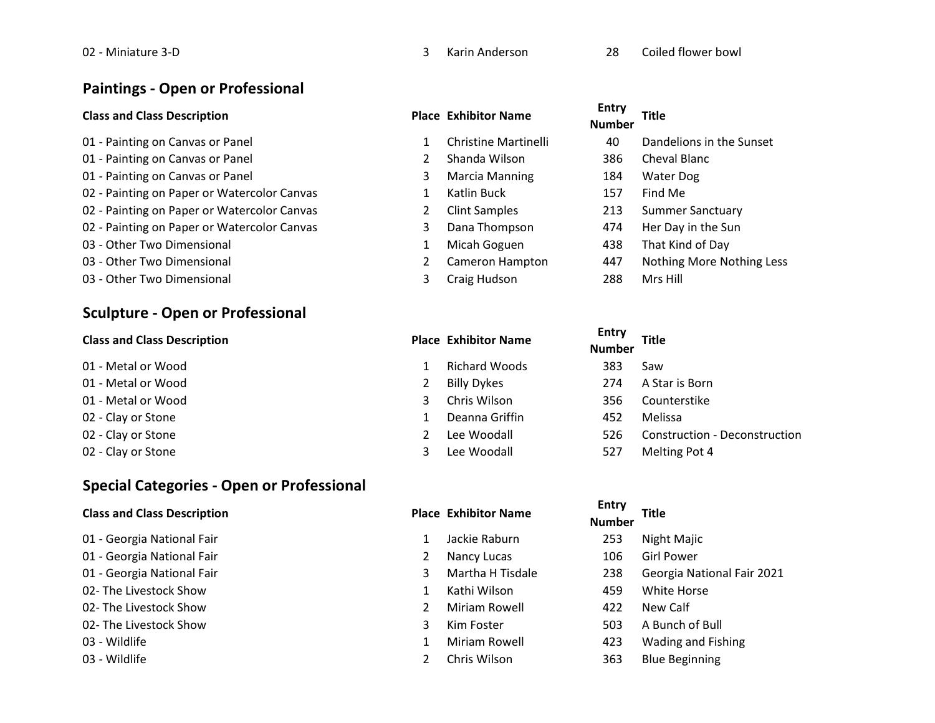### Paintings - Open or Professional

### Class and Class Description **Place Exhibitor Name** Place Exhibitor Name

01 - Painting on Canvas or Panel 1 Christine Martinelli 01 - Painting on Canvas or Panel 2 Shanda Wilson 386 Cheval Blanck Blanck 386 Cheval Blanck Blanck Blanck Blanck 01 - Painting on Canvas or Panel 3 Marcia Manning 184 Water Dog 184 Water Dog 184 Water Dog 184 Water Dog 184 W 02 - Painting on Paper or Watercolor Canvas 1 Katlin Buck 02 - Painting on Paper or Watercolor Canvas 2 Clint Samples 02 - Painting on Paper or Watercolor Canvas **3** Dana Thompson 03 - Other Two Dimensional 1 Micah Goguen 03 - Other Two Dimensional 2008 - 2012 More 2014 Nothing More 2014 2014 Nothing More 2014 03 - Other Two Dimensional 3 Craig Hudson 288 Mrs Hill

# Sculpture - Open or Professional

# Entry<br>Class and Class Description **Place Exhibitor Name**

- 01 Metal or Wood **1 Richard Woods** 383 Saw
- 
- 
- 
- 
- 

# Special Categories - Open or Professional

### Class and Class Description **Place Exhibitor Name** Place Exhibitor Name

- 01 Georgia National Fair 1 Jackie Raburn 2014 01 - Georgia National Fair 2 Nancy Lucas 106 Girl Power 2 Nancy Lucas 106 Girl Power 2 Nancy Lucas 01 - Georgia National Fair 3 Martha H Tisdale 02- The Livestock Show 1 Kathi Wilson 30-02- The Livestock Show 2 Miriam Rowell 42 02- The Livestock Show 3 Kim Foster outspace 1 Miriam Rowell 1 Miriam Rowell 1 Miriam Rowell 423 Wading and Fishing
- 

|--|

02 - Miniature 3-D **3 No. 28 Coiled flower bowl** 3 Karin Anderson 28 Coiled flower bowl

- 
- 
- 
- 
- 
- 
- 
- 
- 

| <b>Entry</b><br><b>Number</b> | Title                            |
|-------------------------------|----------------------------------|
| 40                            | Dandelions in the Sunset         |
| 386                           | Cheval Blanc                     |
| 184                           | Water Dog                        |
| 157                           | Find Me                          |
| 213                           | Summer Sanctuary                 |
| 474                           | Her Day in the Sun               |
| 438                           | That Kind of Day                 |
| 447                           | <b>Nothing More Nothing Less</b> |

**Number** Title 01 - Metal or Wood 2 Billy Dykes 274 A Star is Born 01 - Metal or Wood **3** Chris Wilson 3 Chris Wilson 356 Counterstike 02 - Clay or Stone 1 Deanna Griffin 1992 - Andrea Melissa 02 - Clay or Stone 2 Lee Woodall 526 Construction - Deconstruction - Deconstruction 02 - Clay or Stone 6 10 and 527 Melting Pot 4

| <b>Entry</b><br><b>Number</b> | <b>Title</b>               |
|-------------------------------|----------------------------|
| 253                           | Night Majic                |
| 106                           | Girl Power                 |
| 238                           | Georgia National Fair 2021 |
| 459                           | White Horse                |
| 422                           | New Calf                   |
| 503                           | A Bunch of Bull            |
| כרו                           | Wading and Eiching         |

03 - Wildlife **2** Chris Wilson 2008 2 2 Chris Wilson 2008 2 2 Chris Wilson 2008 2 2 Chris Milson 2 2 Chris Milson